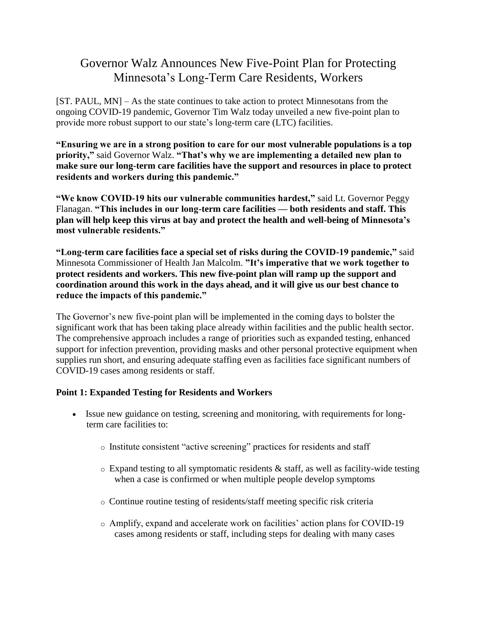# Governor Walz Announces New Five-Point Plan for Protecting Minnesota's Long-Term Care Residents, Workers

[ST. PAUL, MN] – As the state continues to take action to protect Minnesotans from the ongoing COVID-19 pandemic, Governor Tim Walz today unveiled a new five-point plan to provide more robust support to our state's long-term care (LTC) facilities.

**"Ensuring we are in a strong position to care for our most vulnerable populations is a top priority,"** said Governor Walz. **"That's why we are implementing a detailed new plan to make sure our long-term care facilities have the support and resources in place to protect residents and workers during this pandemic."**

**"We know COVID-19 hits our vulnerable communities hardest,"** said Lt. Governor Peggy Flanagan. **"This includes in our long-term care facilities — both residents and staff. This plan will help keep this virus at bay and protect the health and well-being of Minnesota's most vulnerable residents."**

**"Long-term care facilities face a special set of risks during the COVID-19 pandemic,"** said Minnesota Commissioner of Health Jan Malcolm. **"It's imperative that we work together to protect residents and workers. This new five-point plan will ramp up the support and coordination around this work in the days ahead, and it will give us our best chance to reduce the impacts of this pandemic."**

The Governor's new five-point plan will be implemented in the coming days to bolster the significant work that has been taking place already within facilities and the public health sector. The comprehensive approach includes a range of priorities such as expanded testing, enhanced support for infection prevention, providing masks and other personal protective equipment when supplies run short, and ensuring adequate staffing even as facilities face significant numbers of COVID-19 cases among residents or staff.

#### **Point 1: Expanded Testing for Residents and Workers**

- Issue new guidance on testing, screening and monitoring, with requirements for longterm care facilities to:
	- o Institute consistent "active screening" practices for residents and staff
	- o Expand testing to all symptomatic residents & staff, as well as facility-wide testing when a case is confirmed or when multiple people develop symptoms
	- o Continue routine testing of residents/staff meeting specific risk criteria
	- o Amplify, expand and accelerate work on facilities' action plans for COVID-19 cases among residents or staff, including steps for dealing with many cases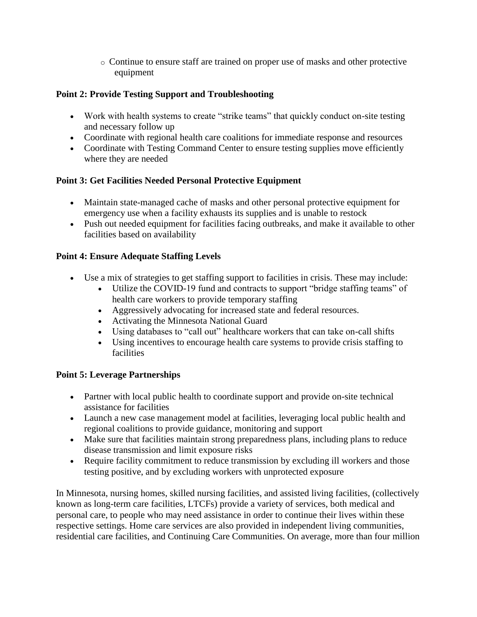o Continue to ensure staff are trained on proper use of masks and other protective equipment

## **Point 2: Provide Testing Support and Troubleshooting**

- Work with health systems to create "strike teams" that quickly conduct on-site testing and necessary follow up
- Coordinate with regional health care coalitions for immediate response and resources
- Coordinate with Testing Command Center to ensure testing supplies move efficiently where they are needed

### **Point 3: Get Facilities Needed Personal Protective Equipment**

- Maintain state-managed cache of masks and other personal protective equipment for emergency use when a facility exhausts its supplies and is unable to restock
- Push out needed equipment for facilities facing outbreaks, and make it available to other facilities based on availability

## **Point 4: Ensure Adequate Staffing Levels**

- Use a mix of strategies to get staffing support to facilities in crisis. These may include:
	- Utilize the COVID-19 fund and contracts to support "bridge staffing teams" of health care workers to provide temporary staffing
	- Aggressively advocating for increased state and federal resources.
	- Activating the Minnesota National Guard
	- Using databases to "call out" healthcare workers that can take on-call shifts
	- Using incentives to encourage health care systems to provide crisis staffing to facilities

## **Point 5: Leverage Partnerships**

- Partner with local public health to coordinate support and provide on-site technical assistance for facilities
- Launch a new case management model at facilities, leveraging local public health and regional coalitions to provide guidance, monitoring and support
- Make sure that facilities maintain strong preparedness plans, including plans to reduce disease transmission and limit exposure risks
- Require facility commitment to reduce transmission by excluding ill workers and those testing positive, and by excluding workers with unprotected exposure

In Minnesota, nursing homes, skilled nursing facilities, and assisted living facilities, (collectively known as long-term care facilities, LTCFs) provide a variety of services, both medical and personal care, to people who may need assistance in order to continue their lives within these respective settings. Home care services are also provided in independent living communities, residential care facilities, and Continuing Care Communities. On average, more than four million